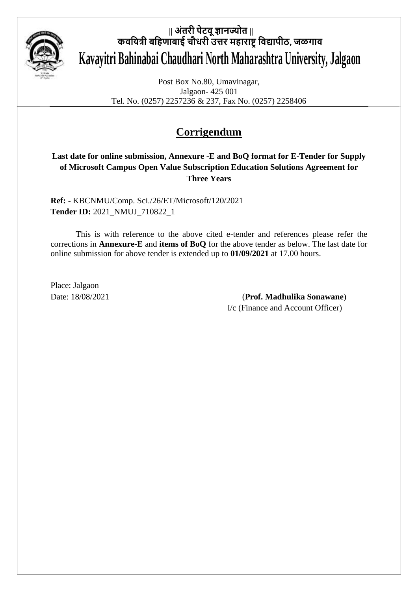

# **|| अंतरी पेटवूज्ञानज्योत || कवयित्री बयिणाबाई चौधरी उत्तर मिाराष्ट्रयवद्यापीठ, जळगाव Kavayitri Bahinabai Chaudhari North Maharashtra University, Jalgaon**

Post Box No.80, Umavinagar, Jalgaon- 425 001 Tel. No. (0257) 2257236 & 237, Fax No. (0257) 2258406

## **Corrigendum**

#### **Last date for online submission, Annexure -E and BoQ format for E-Tender for Supply of Microsoft Campus Open Value Subscription Education Solutions Agreement for Three Years**

**Ref:** - KBCNMU/Comp. Sci./26/ET/Microsoft/120/2021 **Tender ID:** 2021\_NMUJ\_710822\_1

This is with reference to the above cited e-tender and references please refer the corrections in **Annexure-E** and **items of BoQ** for the above tender as below. The last date for online submission for above tender is extended up to **01/09/2021** at 17.00 hours.

Place: Jalgaon

Date: 18/08/2021 (**Prof. Madhulika Sonawane**) I/c (Finance and Account Officer)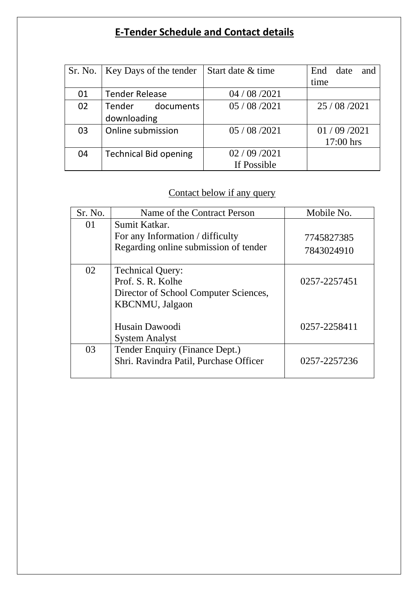## **E-Tender Schedule and Contact details**

|    | Sr. No.   Key Days of the tender | Start date & time | End date<br>and |
|----|----------------------------------|-------------------|-----------------|
|    |                                  |                   | time            |
| 01 | <b>Tender Release</b>            | 04 / 08 / 2021    |                 |
| 02 | Tender documents                 | 05/08/2021        | 25 / 08 / 2021  |
|    | downloading                      |                   |                 |
| 03 | Online submission                | 05 / 08 / 2021    | 01/09/2021      |
|    |                                  |                   | 17:00 hrs       |
| 04 | <b>Technical Bid opening</b>     | 02/09/2021        |                 |
|    |                                  | If Possible       |                 |

## Contact below if any query

| Sr. No. | Name of the Contract Person             | Mobile No.   |
|---------|-----------------------------------------|--------------|
| 01      | Sumit Katkar.                           |              |
|         | For any Information / difficulty        | 7745827385   |
|         | Regarding online submission of tender   | 7843024910   |
| 02      | <b>Technical Query:</b>                 |              |
|         | Prof. S. R. Kolhe                       | 0257-2257451 |
|         | Director of School Computer Sciences,   |              |
|         | <b>KBCNMU</b> , Jalgaon                 |              |
|         | Husain Dawoodi<br><b>System Analyst</b> | 0257-2258411 |
| 03      | Tender Enquiry (Finance Dept.)          |              |
|         | Shri. Ravindra Patil, Purchase Officer  | 0257-2257236 |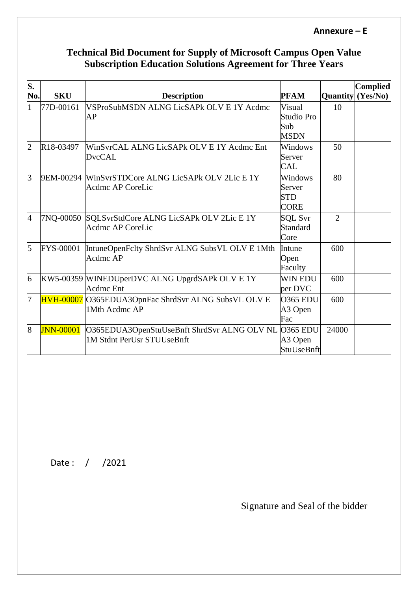#### **Annexure – E**

#### **Technical Bid Document for Supply of Microsoft Campus Open Value Subscription Education Solutions Agreement for Three Years**

| S.<br>No.      | <b>SKU</b>             | <b>Description</b>                                                                 | <b>PFAM</b>                                    | <b>Quantity</b> | <b>Complied</b><br>(Yes/No) |
|----------------|------------------------|------------------------------------------------------------------------------------|------------------------------------------------|-----------------|-----------------------------|
|                | 77D-00161              | VSProSubMSDN ALNG LicSAPk OLV E 1Y Acdmc<br>AP                                     | Visual<br>Studio Pro<br>Sub<br><b>MSDN</b>     | 10              |                             |
| $\overline{2}$ | R <sub>18</sub> -03497 | WinSvrCAL ALNG LicSAPk OLV E 1Y Acdmc Ent<br><b>DvcCAL</b>                         | Windows<br>Server<br><b>CAL</b>                | 50              |                             |
| 3              | 9EM-00294              | WinSvrSTDCore ALNG LicSAPk OLV 2Lic E 1Y<br><b>Acdmc AP CoreLic</b>                | Windows<br>Server<br><b>STD</b><br><b>CORE</b> | 80              |                             |
| $\overline{A}$ | 7NQ-00050              | SQLSvrStdCore ALNG LicSAPk OLV 2Lic E 1Y<br><b>Acdmc AP CoreLic</b>                | <b>SQL Svr</b><br>Standard<br>Core             | $\overline{2}$  |                             |
| 5              | <b>FYS-00001</b>       | IntuneOpenFclty ShrdSvr ALNG SubsVL OLV E 1Mth<br>Acdmc AP                         | Intune<br>Open<br>Faculty                      | 600             |                             |
| $\overline{6}$ |                        | KW5-00359 WINEDUperDVC ALNG UpgrdSAPk OLV E 1Y<br><b>Acdmc</b> Ent                 | <b>WIN EDU</b><br>per DVC                      | 600             |                             |
| 7              |                        | HVH-00007 O365EDUA3OpnFac ShrdSvr ALNG SubsVL OLV E<br>1Mth Acdmc AP               | <b>O365 EDU</b><br>A3 Open<br>Fac              | 600             |                             |
| $\overline{8}$ | <b>JNN-00001</b>       | O365EDUA3OpenStuUseBnft ShrdSvr ALNG OLV NL O365 EDU<br>1M Stdnt PerUsr STUUseBnft | A3 Open<br>StuUseBnft                          | 24000           |                             |

Date : / /2021

Signature and Seal of the bidder